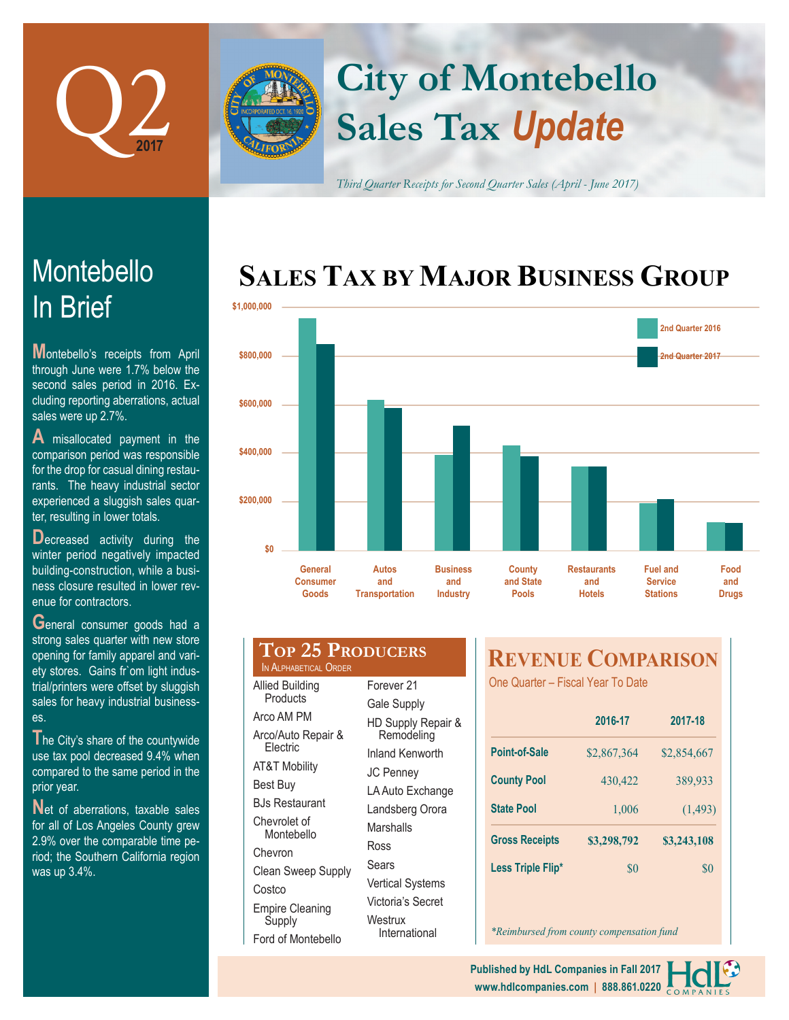

# **Sales Tax** *Update* **City of Montebello**

*Third Quarter Receipts for Second Quarter Sales (April - June 2017)*

# **SALES TAX BY MAJOR BUSINESS GROUP**



| \$600,000<br>\$400,000<br>\$200,000<br>\$0<br><b>General</b><br><b>Autos</b><br><b>Business</b><br><b>County</b><br><b>Restaurants</b><br>and<br><b>Consumer</b> |                         | 2nd Qu                                               |
|------------------------------------------------------------------------------------------------------------------------------------------------------------------|-------------------------|------------------------------------------------------|
|                                                                                                                                                                  |                         |                                                      |
|                                                                                                                                                                  |                         |                                                      |
|                                                                                                                                                                  |                         |                                                      |
|                                                                                                                                                                  |                         |                                                      |
| <b>Transportation</b><br><b>Goods</b><br><b>Industry</b><br><b>Hotels</b><br><b>Pools</b>                                                                        | and State<br>and<br>and | <b>Fuel and</b><br><b>Service</b><br><b>Stations</b> |

| LVI <i>E</i> V LINUD<br>IN ALPHABETICAL ORDER |    |
|-----------------------------------------------|----|
| <b>Allied Building</b>                        | F, |
| Products                                      | G  |
| Arco AM PM                                    | Н  |
| Arco/Auto Repair &<br>Electric                |    |
| <b>AT&amp;T Mobility</b>                      | In |
|                                               | J( |
| Best Buy                                      | L  |
| BJs Restaurant                                | L  |
| Chevrolet of                                  | M  |
| Montebello                                    | R  |
| Chevron                                       |    |
| <b>Clean Sweep Supply</b>                     | S  |
| Costco                                        | V  |
| Empire Cleaning                               | V  |
| Supply                                        | N  |
| Ford of Montebello                            |    |

| २ |                                  |
|---|----------------------------------|
|   | Forever 21                       |
|   | Gale Supply                      |
|   | HD Supply Repair &<br>Remodeling |
|   | <b>Inland Kenworth</b>           |
|   | JC Penney                        |
|   | LA Auto Exchange                 |
|   | Landsberg Orora                  |
|   | Marshalls                        |
|   | Ross                             |
|   | Sears                            |
|   | <b>Vertical Systems</b>          |
|   | Victoria's Secret                |
|   | Westrux<br>International         |

## **REVENUE COMPARISON**

One Quarter – Fiscal Year To Date

|                       | 2016-17     | 2017-18     |  |
|-----------------------|-------------|-------------|--|
| Point-of-Sale         | \$2,867,364 | \$2,854,667 |  |
| <b>County Pool</b>    | 430,422     | 389,933     |  |
| <b>State Pool</b>     | 1,006       | (1, 493)    |  |
| <b>Gross Receipts</b> | \$3,298,792 | \$3,243,108 |  |
| Less Triple Flip*     | \$0         | \$0         |  |

*\*Reimbursed from county compensation fund*

**www.hdlcompanies.com | 888.861.0220 Published by HdL Companies in Fall 2017**

# In Brief Montebello

**Montebello's receipts from April** through June were 1.7% below the second sales period in 2016. Excluding reporting aberrations, actual sales were up 2.7%.

**A** misallocated payment in the comparison period was responsible for the drop for casual dining restaurants. The heavy industrial sector experienced a sluggish sales quarter, resulting in lower totals.

**Decreased** activity during the winter period negatively impacted building-construction, while a business closure resulted in lower revenue for contractors.

**G**eneral consumer goods had a strong sales quarter with new store opening for family apparel and variety stores. Gains fr`om light industrial/printers were offset by sluggish sales for heavy industrial businesses.

**T**he City's share of the countywide use tax pool decreased 9.4% when compared to the same period in the prior year.

Net of aberrations, taxable sales for all of Los Angeles County grew 2.9% over the comparable time period; the Southern California region was up 3.4%.